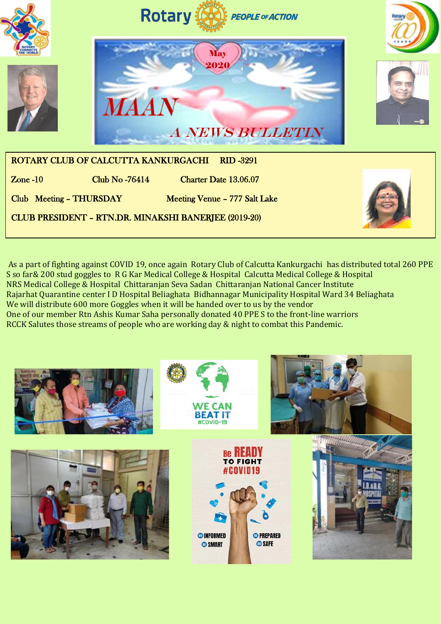

As a part of fighting against COVID 19, once again Rotary Club of Calcutta Kankurgachi has distributed total 260 PPE S so far& 200 stud goggles to R G Kar Medical College & Hospital Calcutta Medical College & Hospital NRS Medical College & Hospital Chittaranjan Seva Sadan Chittaranjan National Cancer Institute Rajarhat Quarantine center I D Hospital Beliaghata Bidhannagar Municipality Hospital Ward 34 Beliaghata We will distribute 600 more Goggles when it will be handed over to us by the vendor One of our member Rtn Ashis Kumar Saha personally donated 40 PPE S to the front-line warriors RCCK Salutes those streams of people who are working day & night to combat this Pandemic.

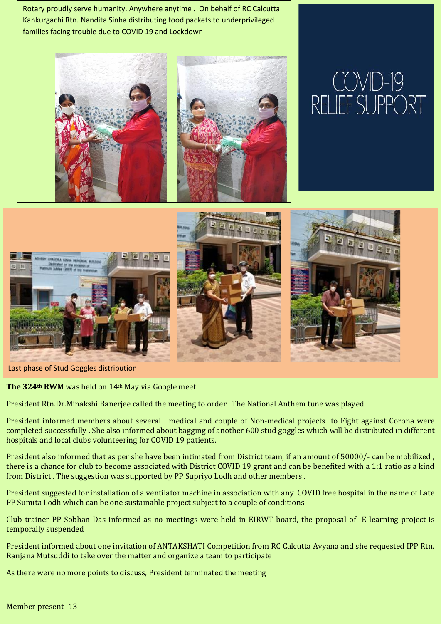Rotary proudly serve humanity. Anywhere anytime . On behalf of RC Calcutta Kankurgachi Rtn. Nandita Sinha distributing food packets to underprivileged families facing trouble due to COVID 19 and Lockdown



Last phase of Stud Goggles distribution

**The 324th RWM** was held on 14th May via Google meet

President Rtn.Dr.Minakshi Banerjee called the meeting to order . The National Anthem tune was played

President informed members about several medical and couple of Non-medical projects to Fight against Corona were completed successfully . She also informed about bagging of another 600 stud goggles which will be distributed in different hospitals and local clubs volunteering for COVID 19 patients.

President also informed that as per she have been intimated from District team, if an amount of 50000/- can be mobilized , there is a chance for club to become associated with District COVID 19 grant and can be benefited with a 1:1 ratio as a kind from District . The suggestion was supported by PP Supriyo Lodh and other members .

President suggested for installation of a ventilator machine in association with any COVID free hospital in the name of Late PP Sumita Lodh which can be one sustainable project subject to a couple of conditions

Club trainer PP Sobhan Das informed as no meetings were held in EIRWT board, the proposal of E learning project is temporally suspended

President informed about one invitation of ANTAKSHATI Competition from RC Calcutta Avyana and she requested IPP Rtn. Ranjana Mutsuddi to take over the matter and organize a team to participate

As there were no more points to discuss, President terminated the meeting .